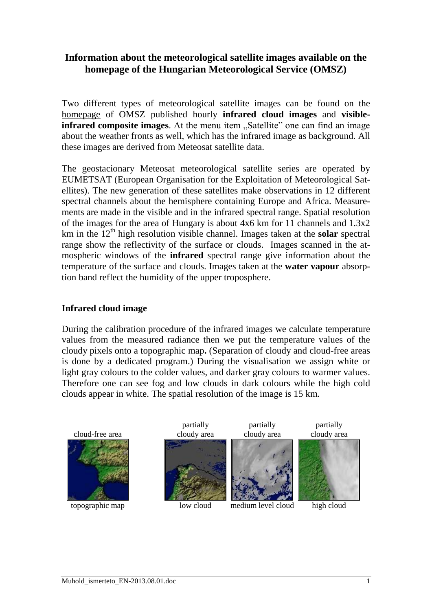# **Information about the meteorological satellite images available on the homepage of the Hungarian Meteorological Service (OMSZ)**

Two different types of meteorological satellite images can be found on the [homepage](http://www.met.hu/idojaras/) of OMSZ published hourly **infrared cloud images** and **visibleinfrared composite images**. At the menu item "Satellite" one can find an image about the weather fronts as well, which has the infrared image as background. All these images are derived from Meteosat satellite data.

The geostacionary Meteosat meteorological satellite series are operated by [EUMETSAT](http://www.eumetsat.int/) (European Organisation for the Exploitation of Meteorological Satellites). The new generation of these satellites make observations in 12 different spectral channels about the hemisphere containing Europe and Africa. Measurements are made in the visible and in the infrared spectral range. Spatial resolution of the images for the area of Hungary is about 4x6 km for 11 channels and 1.3x2 km in the  $12<sup>th</sup>$  high resolution visible channel. Images taken at the **solar** spectral range show the reflectivity of the surface or clouds. Images scanned in the atmospheric windows of the **infrared** spectral range give information about the temperature of the surface and clouds. Images taken at the **water vapour** absorption band reflect the humidity of the upper troposphere.

### **Infrared cloud image**

During the calibration procedure of the infrared images we calculate temperature values from the measured radiance then we put the temperature values of the cloudy pixels onto a topographic [map](http://www.met.hu/idojaras/aktualis_idojaras/muhold/index.php?no=0&p=muhold&id=BMwC&ful=infra_felhokep)**.** (Separation of cloudy and cloud-free areas is done by a dedicated program.) During the visualisation we assign white or light gray colours to the colder values, and darker gray colours to warmer values. Therefore one can see fog and low clouds in dark colours while the high cold clouds appear in white. The spatial resolution of the image is 15 km.

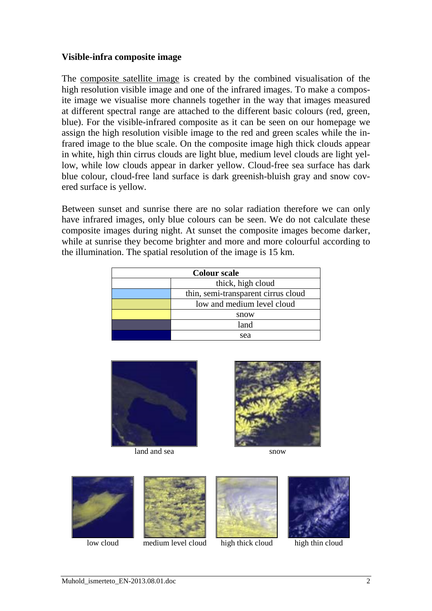#### **Visible-infra composite image**

The [composite satellite image](http://www.met.hu/idojaras/aktualis_idojaras/muhold/index.php?no=0&p=muhold&id=bMw9&ful=lathato_infra) is created by the combined visualisation of the high resolution visible image and one of the infrared images. To make a composite image we visualise more channels together in the way that images measured at different spectral range are attached to the different basic colours (red, green, blue). For the visible-infrared composite as it can be seen on our homepage we assign the high resolution visible image to the red and green scales while the infrared image to the blue scale. On the composite image high thick clouds appear in white, high thin cirrus clouds are light blue, medium level clouds are light yellow, while low clouds appear in darker yellow. Cloud-free sea surface has dark blue colour, cloud-free land surface is dark greenish-bluish gray and snow covered surface is yellow.

Between sunset and sunrise there are no solar radiation therefore we can only have infrared images, only blue colours can be seen. We do not calculate these composite images during night. At sunset the composite images become darker, while at sunrise they become brighter and more and more colourful according to the illumination. The spatial resolution of the image is 15 km.

| <b>Colour scale</b> |                                     |
|---------------------|-------------------------------------|
|                     | thick, high cloud                   |
|                     | thin, semi-transparent cirrus cloud |
|                     | low and medium level cloud          |
|                     | snow                                |
|                     | land                                |
|                     | sea                                 |



land and sea snow